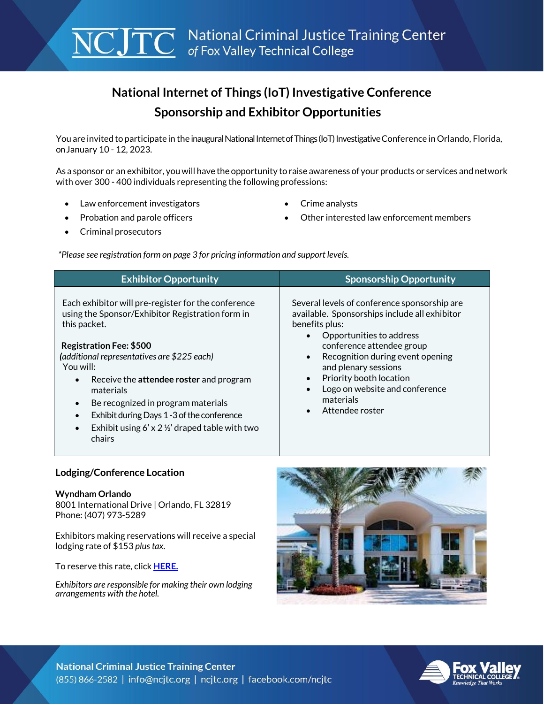# **National Internet of Things (IoT) Investigative Conference Sponsorship and Exhibitor Opportunities**

You are invited to participate in the inaugural National Internet of Things (IoT) Investigative Conference in Orlando, Florida, onJanuary 10 - 12, 2023.

As a sponsor or an exhibitor, youwill have the opportunity to raise awareness of your products or services and network with over 300 - 400 individuals representing the following professions:

- Law enforcement investigators **Community Crime analysts**
- 
- Probation and parole officers **State of the Contract of Contract Contract Members Contract Members**
- Criminal prosecutors

 *\*Please see registration form on page 3 for pricing information and support levels.*

| <b>Exhibitor Opportunity</b>                                                                                                                                                                                                                                                                                                                                                                                                                      | <b>Sponsorship Opportunity</b>                                                                                                                                                                                                                                                                                                                                                                     |
|---------------------------------------------------------------------------------------------------------------------------------------------------------------------------------------------------------------------------------------------------------------------------------------------------------------------------------------------------------------------------------------------------------------------------------------------------|----------------------------------------------------------------------------------------------------------------------------------------------------------------------------------------------------------------------------------------------------------------------------------------------------------------------------------------------------------------------------------------------------|
| Each exhibitor will pre-register for the conference<br>using the Sponsor/Exhibitor Registration form in<br>this packet.<br><b>Registration Fee: \$500</b><br>(additional representatives are \$225 each)<br>You will:<br>Receive the <b>attendee roster</b> and program<br>materials<br>Be recognized in program materials<br>Exhibit during Days 1 - 3 of the conference<br>Exhibit using 6' x 2 $\frac{1}{2}$ ' draped table with two<br>chairs | Several levels of conference sponsorship are<br>available. Sponsorships include all exhibitor<br>benefits plus:<br>Opportunities to address<br>$\bullet$<br>conference attendee group<br>Recognition during event opening<br>$\bullet$<br>and plenary sessions<br>Priority booth location<br>$\bullet$<br>Logo on website and conference<br>$\bullet$<br>materials<br>Attendee roster<br>$\bullet$ |

### **Lodging/Conference Location**

#### **Wyndham Orlando**

8001 International Drive | Orlando, FL 32819 Phone: (407) 973-5289

Exhibitors making reservations will receive a special lodging rate of \$153 *plus tax.* 

To reserve this rate, click **[HERE.](https://book.passkey.com/e/50321467)**

*Exhibitors are responsible for making their own lodging arrangements with the hotel.*



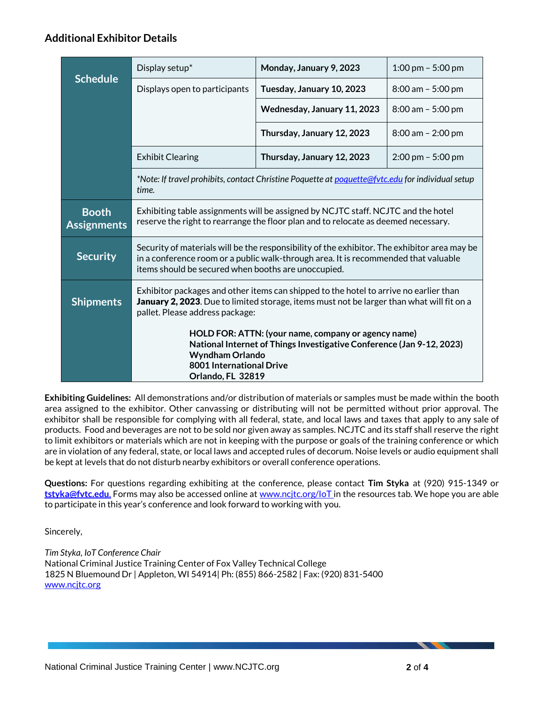### **Additional Exhibitor Details**

|                                    | Display setup*                                                                                                                                                                                                                             | Monday, January 9, 2023     | 1:00 pm $-$ 5:00 pm                 |  |  |
|------------------------------------|--------------------------------------------------------------------------------------------------------------------------------------------------------------------------------------------------------------------------------------------|-----------------------------|-------------------------------------|--|--|
| <b>Schedule</b>                    | Displays open to participants                                                                                                                                                                                                              | Tuesday, January 10, 2023   | $8:00$ am $-5:00$ pm                |  |  |
|                                    |                                                                                                                                                                                                                                            | Wednesday, January 11, 2023 | $8:00$ am $-5:00$ pm                |  |  |
|                                    |                                                                                                                                                                                                                                            | Thursday, January 12, 2023  | $8:00$ am $-2:00$ pm                |  |  |
|                                    | <b>Exhibit Clearing</b>                                                                                                                                                                                                                    | Thursday, January 12, 2023  | $2:00 \text{ pm} - 5:00 \text{ pm}$ |  |  |
|                                    | *Note: If travel prohibits, contact Christine Poquette at poquette@fytc.edu for individual setup<br>time.                                                                                                                                  |                             |                                     |  |  |
| <b>Booth</b><br><b>Assignments</b> | Exhibiting table assignments will be assigned by NCJTC staff. NCJTC and the hotel<br>reserve the right to rearrange the floor plan and to relocate as deemed necessary.                                                                    |                             |                                     |  |  |
| <b>Security</b>                    | Security of materials will be the responsibility of the exhibitor. The exhibitor area may be<br>in a conference room or a public walk-through area. It is recommended that valuable<br>items should be secured when booths are unoccupied. |                             |                                     |  |  |
| <b>Shipments</b>                   | Exhibitor packages and other items can shipped to the hotel to arrive no earlier than<br><b>January 2, 2023.</b> Due to limited storage, items must not be larger than what will fit on a<br>pallet. Please address package:               |                             |                                     |  |  |
|                                    | HOLD FOR: ATTN: (your name, company or agency name)<br>National Internet of Things Investigative Conference (Jan 9-12, 2023)<br><b>Wyndham Orlando</b><br><b>8001 International Drive</b><br>Orlando, FL 32819                             |                             |                                     |  |  |

**Exhibiting Guidelines:** All demonstrations and/or distribution of materials or samples must be made within the booth area assigned to the exhibitor. Other canvassing or distributing will not be permitted without prior approval. The exhibitor shall be responsible for complying with all federal, state, and local laws and taxes that apply to any sale of products. Food and beverages are not to be sold nor given away as samples. NCJTC and its staff shall reserve the right to limit exhibitors or materials which are not in keeping with the purpose or goals of the training conference or which are in violation of any federal, state, or local laws and accepted rules of decorum. Noise levels or audio equipment shall be kept at levels that do not disturb nearby exhibitors or overall conference operations.

**Questions:** For questions regarding exhibiting at the conference, please contact **Tim Styka** at (920) 915-1349 or **[tstyka@fvtc.edu](mailto:tstyka@fvtc.edu.)**. Forms may also be accessed online at [www.ncjtc.org/IoT](http://www.ncjtc.org/IoT) in the resources tab. We hope you are able to participate in this year's conference and look forward to working with you.

Sincerely,

*Tim Styka, IoT Conference Chair* National Criminal Justice Training Center of Fox Valley Technical College 1825 N Bluemound Dr | Appleton, WI 54914| Ph: (855) 866-2582 | Fax: (920) 831-5400 [www.ncjtc.org](http://www.ncjtc.org/)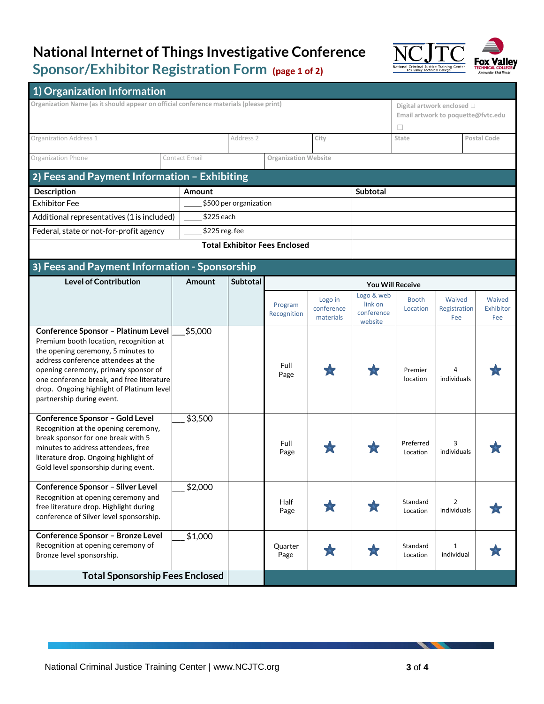### **National Internet of Things Investigative Conference Sponsor/Exhibitor Registration Form (page 1 of 2)**



| 1) Organization Information<br>Organization Name (as it should appear on official conference materials (please print)<br>2) Fees and Payment Information - Exhibiting | Contact Email<br>Amount | Address 2       | <b>Organization Website</b>          | City                               |                                       | П<br>State               | Digital artwork enclosed □<br>Email artwork to poquette@fvtc.edu |                            |
|-----------------------------------------------------------------------------------------------------------------------------------------------------------------------|-------------------------|-----------------|--------------------------------------|------------------------------------|---------------------------------------|--------------------------|------------------------------------------------------------------|----------------------------|
|                                                                                                                                                                       |                         |                 |                                      |                                    |                                       |                          |                                                                  |                            |
| Organization Address 1<br>Organization Phone                                                                                                                          |                         |                 |                                      |                                    |                                       |                          |                                                                  |                            |
|                                                                                                                                                                       |                         |                 |                                      |                                    |                                       |                          |                                                                  |                            |
|                                                                                                                                                                       |                         |                 |                                      |                                    |                                       |                          |                                                                  | Postal Code                |
|                                                                                                                                                                       |                         |                 |                                      |                                    |                                       |                          |                                                                  |                            |
|                                                                                                                                                                       |                         |                 |                                      |                                    |                                       |                          |                                                                  |                            |
| Description                                                                                                                                                           |                         |                 |                                      |                                    | <b>Subtotal</b>                       |                          |                                                                  |                            |
| <b>Exhibitor Fee</b>                                                                                                                                                  | \$500 per organization  |                 |                                      |                                    |                                       |                          |                                                                  |                            |
| Additional representatives (1 is included)                                                                                                                            | \$225 each              |                 |                                      |                                    |                                       |                          |                                                                  |                            |
| Federal, state or not-for-profit agency                                                                                                                               | $$225$ reg. fee         |                 |                                      |                                    |                                       |                          |                                                                  |                            |
|                                                                                                                                                                       |                         |                 | <b>Total Exhibitor Fees Enclosed</b> |                                    |                                       |                          |                                                                  |                            |
|                                                                                                                                                                       |                         |                 |                                      |                                    |                                       |                          |                                                                  |                            |
| 3) Fees and Payment Information - Sponsorship<br><b>Level of Contribution</b>                                                                                         | Amount                  | <b>Subtotal</b> |                                      |                                    |                                       |                          |                                                                  |                            |
|                                                                                                                                                                       |                         |                 |                                      |                                    | <b>You Will Receive</b><br>Logo & web |                          |                                                                  |                            |
|                                                                                                                                                                       |                         |                 | Program<br>Recognition               | Logo in<br>conference<br>materials | link on<br>conference                 | <b>Booth</b><br>Location | Waived<br>Registration<br>Fee                                    | Waived<br>Exhibitor<br>Fee |
| <b>Conference Sponsor - Platinum Level</b>                                                                                                                            | \$5,000                 |                 |                                      |                                    | website                               |                          |                                                                  |                            |
| Premium booth location, recognition at                                                                                                                                |                         |                 |                                      |                                    |                                       |                          |                                                                  |                            |
| the opening ceremony, 5 minutes to                                                                                                                                    |                         |                 |                                      |                                    |                                       |                          |                                                                  |                            |
| address conference attendees at the<br>opening ceremony, primary sponsor of                                                                                           |                         |                 | Full                                 |                                    |                                       | Premier                  |                                                                  |                            |
| one conference break, and free literature                                                                                                                             |                         |                 | Page                                 |                                    |                                       | location                 | individuals                                                      |                            |
| drop. Ongoing highlight of Platinum level                                                                                                                             |                         |                 |                                      |                                    |                                       |                          |                                                                  |                            |
| partnership during event.                                                                                                                                             |                         |                 |                                      |                                    |                                       |                          |                                                                  |                            |
| <b>Conference Sponsor - Gold Level</b>                                                                                                                                | \$3,500                 |                 |                                      |                                    |                                       |                          |                                                                  |                            |
| Recognition at the opening ceremony,<br>break sponsor for one break with 5                                                                                            |                         |                 |                                      |                                    |                                       |                          |                                                                  |                            |
| minutes to address attendees, free                                                                                                                                    |                         |                 | Full                                 |                                    |                                       | Preferred                | 3<br>individuals                                                 |                            |
| literature drop. Ongoing highlight of                                                                                                                                 |                         |                 | Page                                 |                                    |                                       | Location                 |                                                                  |                            |
| Gold level sponsorship during event.                                                                                                                                  |                         |                 |                                      |                                    |                                       |                          |                                                                  |                            |
| <b>Conference Sponsor - Silver Level</b>                                                                                                                              | \$2,000                 |                 |                                      |                                    |                                       |                          |                                                                  |                            |
| Recognition at opening ceremony and                                                                                                                                   |                         |                 | Half                                 |                                    |                                       | Standard                 | 2                                                                |                            |
| free literature drop. Highlight during<br>conference of Silver level sponsorship.                                                                                     |                         |                 | Page                                 | T.                                 | 大                                     | Location                 | individuals                                                      |                            |
|                                                                                                                                                                       |                         |                 |                                      |                                    |                                       |                          |                                                                  |                            |
| Conference Sponsor - Bronze Level<br>Recognition at opening ceremony of                                                                                               | \$1,000                 |                 | Quarter                              |                                    |                                       | Standard                 | 1                                                                |                            |
| Bronze level sponsorship.                                                                                                                                             |                         |                 | Page                                 | ZТ                                 | T.                                    | Location                 | individual                                                       |                            |
| <b>Total Sponsorship Fees Enclosed</b>                                                                                                                                |                         |                 |                                      |                                    |                                       |                          |                                                                  |                            |
|                                                                                                                                                                       |                         |                 |                                      |                                    |                                       |                          |                                                                  |                            |